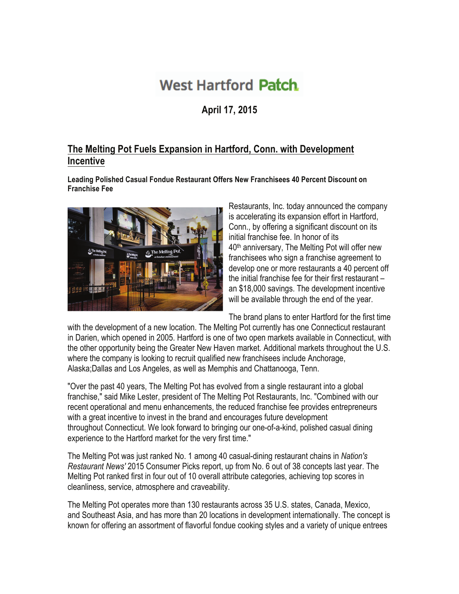## **West Hartford Patch**

## **April 17, 2015**

## **The Melting Pot Fuels Expansion in Hartford, Conn. with Development Incentive**

**Leading Polished Casual Fondue Restaurant Offers New Franchisees 40 Percent Discount on Franchise Fee** 



Restaurants, Inc. today announced the company is accelerating its expansion effort in Hartford, Conn., by offering a significant discount on its initial franchise fee. In honor of its 40th anniversary, The Melting Pot will offer new franchisees who sign a franchise agreement to develop one or more restaurants a 40 percent off the initial franchise fee for their first restaurant – an \$18,000 savings. The development incentive will be available through the end of the year.

The brand plans to enter Hartford for the first time

with the development of a new location. The Melting Pot currently has one Connecticut restaurant in Darien, which opened in 2005. Hartford is one of two open markets available in Connecticut, with the other opportunity being the Greater New Haven market. Additional markets throughout the U.S. where the company is looking to recruit qualified new franchisees include Anchorage, Alaska;Dallas and Los Angeles, as well as Memphis and Chattanooga, Tenn.

"Over the past 40 years, The Melting Pot has evolved from a single restaurant into a global franchise," said Mike Lester, president of The Melting Pot Restaurants, Inc. "Combined with our recent operational and menu enhancements, the reduced franchise fee provides entrepreneurs with a great incentive to invest in the brand and encourages future development throughout Connecticut. We look forward to bringing our one-of-a-kind, polished casual dining experience to the Hartford market for the very first time."

The Melting Pot was just ranked No. 1 among 40 casual-dining restaurant chains in *Nation's Restaurant News'* 2015 Consumer Picks report, up from No. 6 out of 38 concepts last year. The Melting Pot ranked first in four out of 10 overall attribute categories, achieving top scores in cleanliness, service, atmosphere and craveability.

The Melting Pot operates more than 130 restaurants across 35 U.S. states, Canada, Mexico, and Southeast Asia, and has more than 20 locations in development internationally. The concept is known for offering an assortment of flavorful fondue cooking styles and a variety of unique entrees